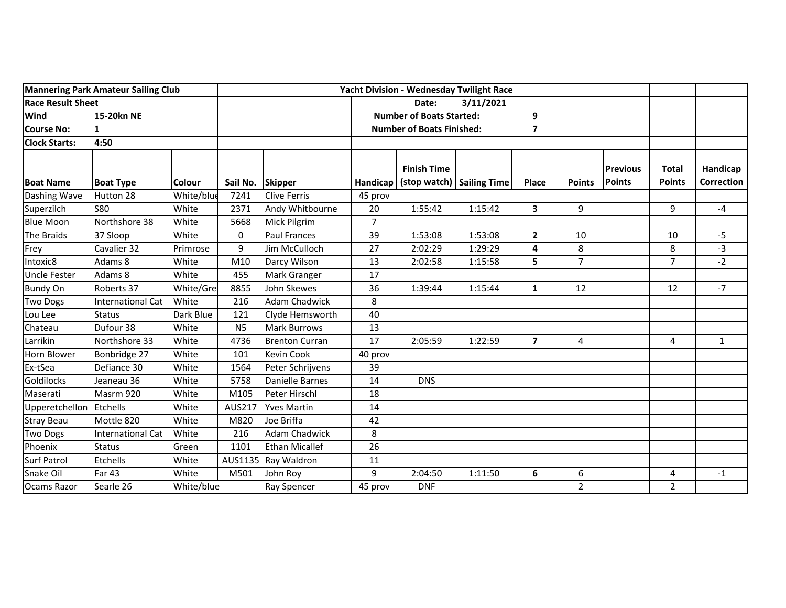| <b>Mannering Park Amateur Sailing Club</b> |                          |               |                | <b>Yacht Division - Wednesday Twilight Race</b> |                                  |                                                   |         |                         |                |                                  |                               |                        |
|--------------------------------------------|--------------------------|---------------|----------------|-------------------------------------------------|----------------------------------|---------------------------------------------------|---------|-------------------------|----------------|----------------------------------|-------------------------------|------------------------|
| <b>Race Result Sheet</b>                   |                          |               |                | 3/11/2021<br>Date:                              |                                  |                                                   |         |                         |                |                                  |                               |                        |
| Wind                                       | 15-20kn NE               |               |                |                                                 | <b>Number of Boats Started:</b>  |                                                   | 9       |                         |                |                                  |                               |                        |
| Course No:                                 |                          |               |                |                                                 | <b>Number of Boats Finished:</b> |                                                   |         | $\overline{\mathbf{z}}$ |                |                                  |                               |                        |
| <b>Clock Starts:</b>                       | 4:50                     |               |                |                                                 |                                  |                                                   |         |                         |                |                                  |                               |                        |
| <b>Boat Name</b>                           | <b>Boat Type</b>         | <b>Colour</b> | Sail No.       | <b>Skipper</b>                                  | <b>Handicap</b>                  | <b>Finish Time</b><br>(stop watch)   Sailing Time |         | <b>Place</b>            | <b>Points</b>  | <b>Previous</b><br><b>Points</b> | <b>Total</b><br><b>Points</b> | Handicap<br>Correction |
| Dashing Wave                               | Hutton 28                | White/blue    | 7241           | <b>Clive Ferris</b>                             | 45 prov                          |                                                   |         |                         |                |                                  |                               |                        |
| Superzilch                                 | <b>S80</b>               | White         | 2371           | Andy Whitbourne                                 | 20                               | 1:55:42                                           | 1:15:42 | 3                       | 9              |                                  | 9                             | $-4$                   |
| <b>Blue Moon</b>                           | Northshore 38            | White         | 5668           | Mick Pilgrim                                    | $\overline{7}$                   |                                                   |         |                         |                |                                  |                               |                        |
| The Braids                                 | 37 Sloop                 | White         | 0              | <b>Paul Frances</b>                             | 39                               | 1:53:08                                           | 1:53:08 | $\overline{2}$          | 10             |                                  | 10                            | $-5$                   |
| Frey                                       | Cavalier 32              | Primrose      | 9              | Jim McCulloch                                   | 27                               | 2:02:29                                           | 1:29:29 | 4                       | 8              |                                  | 8                             | $-3$                   |
| Intoxic8                                   | Adams 8                  | White         | M10            | Darcy Wilson                                    | 13                               | 2:02:58                                           | 1:15:58 | 5                       | $\overline{7}$ |                                  | $\overline{7}$                | $-2$                   |
| <b>Uncle Fester</b>                        | Adams 8                  | White         | 455            | Mark Granger                                    | 17                               |                                                   |         |                         |                |                                  |                               |                        |
| <b>Bundy On</b>                            | Roberts 37               | White/Gre     | 8855           | John Skewes                                     | 36                               | 1:39:44                                           | 1:15:44 | $\mathbf{1}$            | 12             |                                  | 12                            | $-7$                   |
| Two Dogs                                   | <b>International Cat</b> | White         | 216            | <b>Adam Chadwick</b>                            | 8                                |                                                   |         |                         |                |                                  |                               |                        |
| Lou Lee                                    | <b>Status</b>            | Dark Blue     | 121            | Clyde Hemsworth                                 | 40                               |                                                   |         |                         |                |                                  |                               |                        |
| Chateau                                    | Dufour 38                | White         | N <sub>5</sub> | <b>Mark Burrows</b>                             | 13                               |                                                   |         |                         |                |                                  |                               |                        |
| Larrikin                                   | Northshore 33            | White         | 4736           | <b>Brenton Curran</b>                           | 17                               | 2:05:59                                           | 1:22:59 | $\overline{\mathbf{z}}$ | 4              |                                  | 4                             | $\mathbf{1}$           |
| Horn Blower                                | Bonbridge 27             | White         | 101            | Kevin Cook                                      | 40 prov                          |                                                   |         |                         |                |                                  |                               |                        |
| Ex-tSea                                    | Defiance 30              | White         | 1564           | Peter Schrijvens                                | 39                               |                                                   |         |                         |                |                                  |                               |                        |
| Goldilocks                                 | Jeaneau 36               | White         | 5758           | Danielle Barnes                                 | 14                               | <b>DNS</b>                                        |         |                         |                |                                  |                               |                        |
| Maserati                                   | Masrm 920                | White         | M105           | Peter Hirschl                                   | 18                               |                                                   |         |                         |                |                                  |                               |                        |
| Upperetchellon Etchells                    |                          | White         | <b>AUS217</b>  | <b>Yves Martin</b>                              | 14                               |                                                   |         |                         |                |                                  |                               |                        |
| <b>Stray Beau</b>                          | Mottle 820               | White         | M820           | Joe Briffa                                      | 42                               |                                                   |         |                         |                |                                  |                               |                        |
| Two Dogs                                   | <b>International Cat</b> | White         | 216            | <b>Adam Chadwick</b>                            | 8                                |                                                   |         |                         |                |                                  |                               |                        |
| Phoenix                                    | <b>Status</b>            | Green         | 1101           | Ethan Micallef                                  | 26                               |                                                   |         |                         |                |                                  |                               |                        |
| <b>Surf Patrol</b>                         | Etchells                 | White         | AUS1135        | Ray Waldron                                     | 11                               |                                                   |         |                         |                |                                  |                               |                        |
| Snake Oil                                  | <b>Far 43</b>            | White         | M501           | John Roy                                        | 9                                | 2:04:50                                           | 1:11:50 | 6                       | 6              |                                  | 4                             | $-1$                   |
| Ocams Razor                                | Searle 26                | White/blue    |                | Ray Spencer                                     | 45 prov                          | <b>DNF</b>                                        |         |                         | $\overline{2}$ |                                  | $\overline{2}$                |                        |